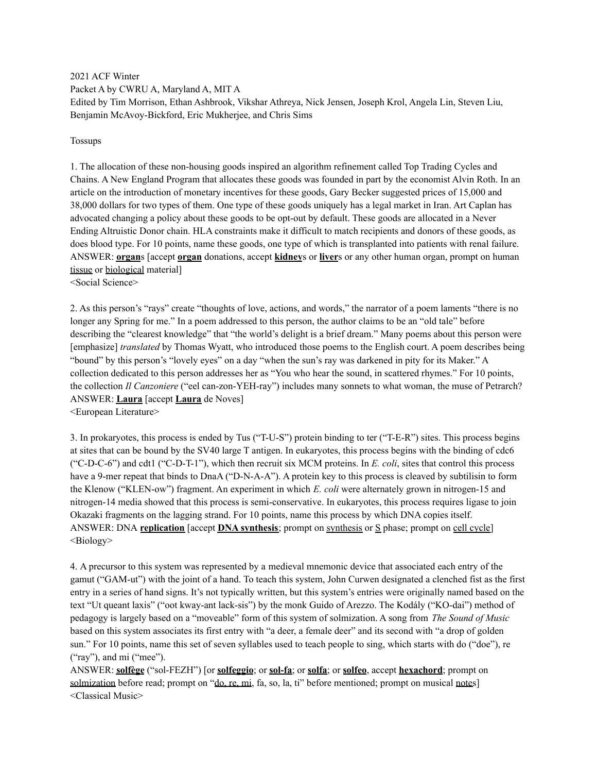2021 ACF Winter Packet A by CWRU A, Maryland A, MIT A Edited by Tim Morrison, Ethan Ashbrook, Vikshar Athreya, Nick Jensen, Joseph Krol, Angela Lin, Steven Liu, Benjamin McAvoy-Bickford, Eric Mukherjee, and Chris Sims

#### Tossups

1. The allocation of these non-housing goods inspired an algorithm refinement called Top Trading Cycles and Chains. A New England Program that allocates these goods was founded in part by the economist Alvin Roth. In an article on the introduction of monetary incentives for these goods, Gary Becker suggested prices of 15,000 and 38,000 dollars for two types of them. One type of these goods uniquely has a legal market in Iran. Art Caplan has advocated changing a policy about these goods to be opt-out by default. These goods are allocated in a Never Ending Altruistic Donor chain. HLA constraints make it difficult to match recipients and donors of these goods, as does blood type. For 10 points, name these goods, one type of which is transplanted into patients with renal failure. ANSWER: **organ**s [accept **organ** donations, accept **kidney**s or **liver**s or any other human organ, prompt on human tissue or biological material]

<Social Science>

2. As this person's "rays" create "thoughts of love, actions, and words," the narrator of a poem laments "there is no longer any Spring for me." In a poem addressed to this person, the author claims to be an "old tale" before describing the "clearest knowledge" that "the world's delight is a brief dream." Many poems about this person were [emphasize] *translated* by Thomas Wyatt, who introduced those poems to the English court. A poem describes being "bound" by this person's "lovely eyes" on a day "when the sun's ray was darkened in pity for its Maker." A collection dedicated to this person addresses her as "You who hear the sound, in scattered rhymes." For 10 points, the collection *Il Canzoniere* ("eel can-zon-YEH-ray") includes many sonnets to what woman, the muse of Petrarch? ANSWER: **Laura** [accept **Laura** de Noves] <European Literature>

3. In prokaryotes, this process is ended by Tus ("T-U-S") protein binding to ter ("T-E-R") sites. This process begins at sites that can be bound by the SV40 large T antigen. In eukaryotes, this process begins with the binding of cdc6 ("C-D-C-6") and cdt1 ("C-D-T-1"), which then recruit six MCM proteins. In *E. coli*, sites that control this process have a 9-mer repeat that binds to DnaA ("D-N-A-A"). A protein key to this process is cleaved by subtilisin to form the Klenow ("KLEN-ow") fragment. An experiment in which *E. coli* were alternately grown in nitrogen-15 and nitrogen-14 media showed that this process is semi-conservative. In eukaryotes, this process requires ligase to join Okazaki fragments on the lagging strand. For 10 points, name this process by which DNA copies itself. ANSWER: DNA **replication** [accept **DNA synthesis**; prompt on synthesis or S phase; prompt on cell cycle] <Biology>

4. A precursor to this system was represented by a medieval mnemonic device that associated each entry of the gamut ("GAM-ut") with the joint of a hand. To teach this system, John Curwen designated a clenched fist as the first entry in a series of hand signs. It's not typically written, but this system's entries were originally named based on the text "Ut queant laxis" ("oot kway-ant lack-sis") by the monk Guido of Arezzo. The Kodály ("KO-dai") method of pedagogy is largely based on a "moveable" form of this system of solmization. A song from *The Sound of Music* based on this system associates its first entry with "a deer, a female deer" and its second with "a drop of golden sun." For 10 points, name this set of seven syllables used to teach people to sing, which starts with do ("doe"), re ("ray"), and mi ("mee").

ANSWER: **solfège** ("sol-FEZH") [or **solfeggio**; or **sol-fa**; or **solfa**; or **solfeo**, accept **hexachord**; prompt on solmization before read; prompt on "do, re, mi, fa, so, la, ti" before mentioned; prompt on musical notes] <Classical Music>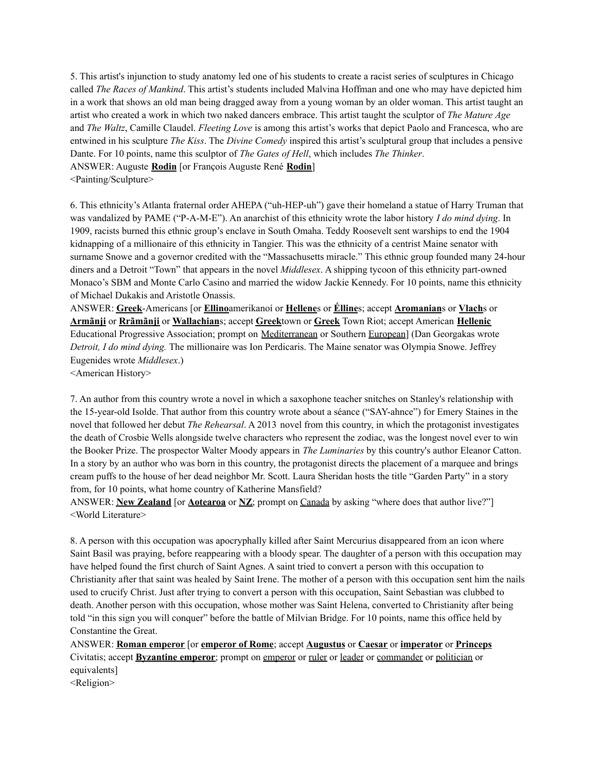5. This artist's injunction to study anatomy led one of his students to create a racist series of sculptures in Chicago called *The Races of Mankind*. This artist's students included Malvina Hoffman and one who may have depicted him in a work that shows an old man being dragged away from a young woman by an older woman. This artist taught an artist who created a work in which two naked dancers embrace. This artist taught the sculptor of *The Mature Age* and *The Waltz*, Camille Claudel. *Fleeting Love* is among this artist's works that depict Paolo and Francesca, who are entwined in his sculpture *The Kiss*. The *Divine Comedy* inspired this artist's sculptural group that includes a pensive Dante. For 10 points, name this sculptor of *The Gates of Hell*, which includes *The Thinker*.

ANSWER: Auguste **Rodin** [or François Auguste René **Rodin**]

<Painting/Sculpture>

6. This ethnicity's Atlanta fraternal order AHEPA ("uh-HEP-uh") gave their homeland a statue of Harry Truman that was vandalized by PAME ("P-A-M-E"). An anarchist of this ethnicity wrote the labor history *I do mind dying*. In 1909, racists burned this ethnic group's enclave in South Omaha. Teddy Roosevelt sent warships to end the 1904 kidnapping of a millionaire of this ethnicity in Tangier. This was the ethnicity of a centrist Maine senator with surname Snowe and a governor credited with the "Massachusetts miracle." This ethnic group founded many 24-hour diners and a Detroit "Town" that appears in the novel *Middlesex*. A shipping tycoon of this ethnicity part-owned Monaco's SBM and Monte Carlo Casino and married the widow Jackie Kennedy. For 10 points, name this ethnicity of Michael Dukakis and Aristotle Onassis.

ANSWER: **Greek**-Americans [or **Ellino**amerikanoí or **Hellene**s or **Élline**s; accept **Aromanian**s or **Vlach**s or **Armãnji** or **Rrãmãnji** or **Wallachian**s; accept **Greek**town or **Greek** Town Riot; accept American **Hellenic** Educational Progressive Association; prompt on Mediterranean or Southern European] (Dan Georgakas wrote *Detroit, I do mind dying.* The millionaire was Ion Perdicaris. The Maine senator was Olympia Snowe. Jeffrey Eugenides wrote *Middlesex*.)

<American History>

7. An author from this country wrote a novel in which a saxophone teacher snitches on Stanley's relationship with the 15-year-old Isolde. That author from this country wrote about a séance ("SAY-ahnce") for Emery Staines in the novel that followed her debut *The Rehearsal*. A 2013 novel from this country, in which the protagonist investigates the death of Crosbie Wells alongside twelve characters who represent the zodiac, was the longest novel ever to win the Booker Prize. The prospector Walter Moody appears in *The Luminaries* by this country's author Eleanor Catton. In a story by an author who was born in this country, the protagonist directs the placement of a marquee and brings cream puffs to the house of her dead neighbor Mr. Scott. Laura Sheridan hosts the title "Garden Party" in a story from, for 10 points, what home country of Katherine Mansfield?

ANSWER: **New Zealand** [or **Aotearoa** or **NZ**; prompt on Canada by asking "where does that author live?"] <World Literature>

8. A person with this occupation was apocryphally killed after Saint Mercurius disappeared from an icon where Saint Basil was praying, before reappearing with a bloody spear. The daughter of a person with this occupation may have helped found the first church of Saint Agnes. A saint tried to convert a person with this occupation to Christianity after that saint was healed by Saint Irene. The mother of a person with this occupation sent him the nails used to crucify Christ. Just after trying to convert a person with this occupation, Saint Sebastian was clubbed to death. Another person with this occupation, whose mother was Saint Helena, converted to Christianity after being told "in this sign you will conquer" before the battle of Milvian Bridge. For 10 points, name this office held by Constantine the Great.

ANSWER: **Roman emperor** [or **emperor of Rome**; accept **Augustus** or **Caesar** or **imperator** or **Princeps** Civitatis; accept **Byzantine emperor**; prompt on emperor or ruler or leader or commander or politician or equivalents]

<Religion>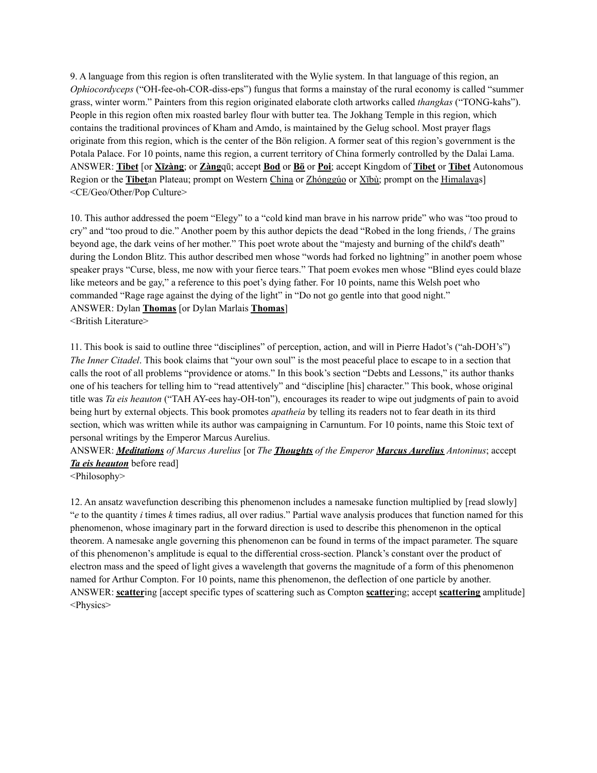9. A language from this region is often transliterated with the Wylie system. In that language of this region, an *Ophiocordyceps* ("OH-fee-oh-COR-diss-eps") fungus that forms a mainstay of the rural economy is called "summer grass, winter worm." Painters from this region originated elaborate cloth artworks called *thangkas* ("TONG-kahs"). People in this region often mix roasted barley flour with butter tea. The Jokhang Temple in this region, which contains the traditional provinces of Kham and Amdo, is maintained by the Gelug school. Most prayer flags originate from this region, which is the center of the Bön religion. A former seat of this region's government is the Potala Palace. For 10 points, name this region, a current territory of China formerly controlled by the Dalai Lama. ANSWER: **Tibet** [or **Xīzàng**; or **Zàng**qū; accept **Bod** or **Bö** or **Poi**; accept Kingdom of **Tibet** or **Tibet** Autonomous Region or the **Tibet**an Plateau; prompt on Western China or Zhónggúo or Xībù; prompt on the Himalayas] <CE/Geo/Other/Pop Culture>

10. This author addressed the poem "Elegy" to a "cold kind man brave in his narrow pride" who was "too proud to cry" and "too proud to die." Another poem by this author depicts the dead "Robed in the long friends, / The grains beyond age, the dark veins of her mother." This poet wrote about the "majesty and burning of the child's death" during the London Blitz. This author described men whose "words had forked no lightning" in another poem whose speaker prays "Curse, bless, me now with your fierce tears." That poem evokes men whose "Blind eyes could blaze like meteors and be gay," a reference to this poet's dying father. For 10 points, name this Welsh poet who commanded "Rage rage against the dying of the light" in "Do not go gentle into that good night." ANSWER: Dylan **Thomas** [or Dylan Marlais **Thomas**] <British Literature>

11. This book is said to outline three "disciplines" of perception, action, and will in Pierre Hadot's ("ah-DOH's") *The Inner Citadel*. This book claims that "your own soul" is the most peaceful place to escape to in a section that calls the root of all problems "providence or atoms." In this book's section "Debts and Lessons," its author thanks one of his teachers for telling him to "read attentively" and "discipline [his] character." This book, whose original title was *Ta eis heauton* ("TAH AY-ees hay-OH-ton"), encourages its reader to wipe out judgments of pain to avoid being hurt by external objects. This book promotes *apatheia* by telling its readers not to fear death in its third section, which was written while its author was campaigning in Carnuntum. For 10 points, name this Stoic text of personal writings by the Emperor Marcus Aurelius.

ANSWER: *Meditations of Marcus Aurelius* [or *The Thoughts of the Emperor Marcus Aurelius Antoninus*; accept *Ta eis heauton* before read]

<Philosophy>

12. An ansatz wavefunction describing this phenomenon includes a namesake function multiplied by [read slowly] "*e* to the quantity *i* times *k* times radius, all over radius." Partial wave analysis produces that function named for this phenomenon, whose imaginary part in the forward direction is used to describe this phenomenon in the optical theorem. A namesake angle governing this phenomenon can be found in terms of the impact parameter. The square of this phenomenon's amplitude is equal to the differential cross-section. Planck's constant over the product of electron mass and the speed of light gives a wavelength that governs the magnitude of a form of this phenomenon named for Arthur Compton. For 10 points, name this phenomenon, the deflection of one particle by another. ANSWER: **scatter**ing [accept specific types of scattering such as Compton **scatter**ing; accept **scattering** amplitude] <Physics>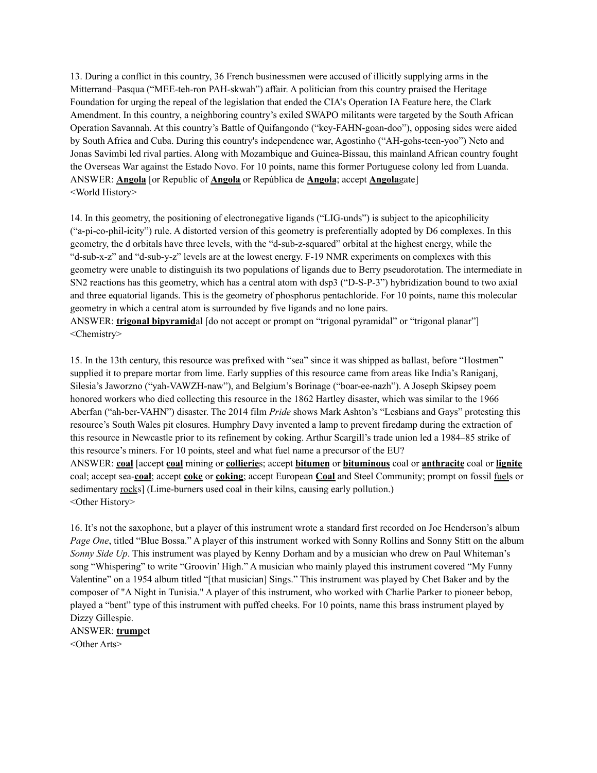13. During a conflict in this country, 36 French businessmen were accused of illicitly supplying arms in the Mitterrand–Pasqua ("MEE-teh-ron PAH-skwah") affair. A politician from this country praised the Heritage Foundation for urging the repeal of the legislation that ended the CIA's Operation IA Feature here, the Clark Amendment. In this country, a neighboring country's exiled SWAPO militants were targeted by the South African Operation Savannah. At this country's Battle of Quifangondo ("key-FAHN-goan-doo"), opposing sides were aided by South Africa and Cuba. During this country's independence war, Agostinho ("AH-gohs-teen-yoo") Neto and Jonas Savimbi led rival parties. Along with Mozambique and Guinea-Bissau, this mainland African country fought the Overseas War against the Estado Novo. For 10 points, name this former Portuguese colony led from Luanda. ANSWER: **Angola** [or Republic of **Angola** or República de **Angola**; accept **Angola**gate] <World History>

14. In this geometry, the positioning of electronegative ligands ("LIG-unds") is subject to the apicophilicity ("a-pi-co-phil-icity") rule. A distorted version of this geometry is preferentially adopted by D6 complexes. In this geometry, the d orbitals have three levels, with the "d-sub-z-squared" orbital at the highest energy, while the "d-sub-x-z" and "d-sub-y-z" levels are at the lowest energy. F-19 NMR experiments on complexes with this geometry were unable to distinguish its two populations of ligands due to Berry pseudorotation. The intermediate in SN2 reactions has this geometry, which has a central atom with dsp3 ("D-S-P-3") hybridization bound to two axial and three equatorial ligands. This is the geometry of phosphorus pentachloride. For 10 points, name this molecular geometry in which a central atom is surrounded by five ligands and no lone pairs. ANSWER: **trigonal bipyramid**al [do not accept or prompt on "trigonal pyramidal" or "trigonal planar"] <Chemistry>

15. In the 13th century, this resource was prefixed with "sea" since it was shipped as ballast, before "Hostmen" supplied it to prepare mortar from lime. Early supplies of this resource came from areas like India's Raniganj, Silesia's Jaworzno ("yah-VAWZH-naw"), and Belgium's Borinage ("boar-ee-nazh"). A Joseph Skipsey poem honored workers who died collecting this resource in the 1862 Hartley disaster, which was similar to the 1966 Aberfan ("ah-ber-VAHN") disaster. The 2014 film *Pride* shows Mark Ashton's "Lesbians and Gays" protesting this resource's South Wales pit closures. Humphry Davy invented a lamp to prevent firedamp during the extraction of this resource in Newcastle prior to its refinement by coking. Arthur Scargill's trade union led a 1984–85 strike of this resource's miners. For 10 points, steel and what fuel name a precursor of the EU? ANSWER: **coal** [accept **coal** mining or **collierie**s; accept **bitumen** or **bituminous** coal or **anthracite** coal or **lignite** coal; accept sea-**coal**; accept **coke** or **coking**; accept European **Coal** and Steel Community; prompt on fossil fuels or sedimentary <u>rocks</u>] (Lime-burners used coal in their kilns, causing early pollution.) <Other History>

16. It's not the saxophone, but a player of this instrument wrote a standard first recorded on Joe Henderson's album *Page One*, titled "Blue Bossa." A player of this instrument worked with Sonny Rollins and Sonny Stitt on the album *Sonny Side Up*. This instrument was played by Kenny Dorham and by a musician who drew on Paul Whiteman's song "Whispering" to write "Groovin' High." A musician who mainly played this instrument covered "My Funny Valentine" on a 1954 album titled "[that musician] Sings." This instrument was played by Chet Baker and by the composer of "A Night in Tunisia." A player of this instrument, who worked with Charlie Parker to pioneer bebop, played a "bent" type of this instrument with puffed cheeks. For 10 points, name this brass instrument played by Dizzy Gillespie.

ANSWER: **trump**et <Other Arts>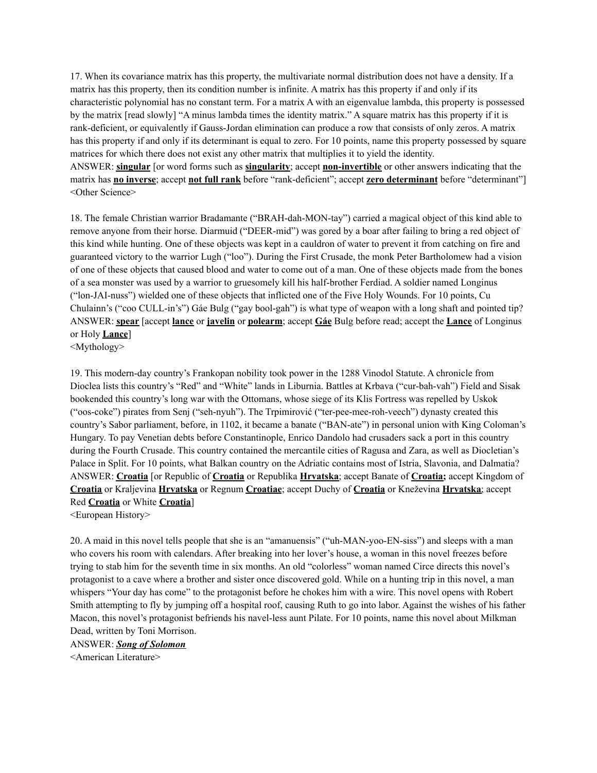17. When its covariance matrix has this property, the multivariate normal distribution does not have a density. If a matrix has this property, then its condition number is infinite. A matrix has this property if and only if its characteristic polynomial has no constant term. For a matrix A with an eigenvalue lambda, this property is possessed by the matrix [read slowly] "A minus lambda times the identity matrix." A square matrix has this property if it is rank-deficient, or equivalently if Gauss-Jordan elimination can produce a row that consists of only zeros. A matrix has this property if and only if its determinant is equal to zero. For 10 points, name this property possessed by square matrices for which there does not exist any other matrix that multiplies it to yield the identity. ANSWER: **singular** [or word forms such as **singularity**; accept **non-invertible** or other answers indicating that the matrix has **no inverse**; accept **not full rank** before "rank-deficient"; accept **zero determinant** before "determinant"]

18. The female Christian warrior Bradamante ("BRAH-dah-MON-tay") carried a magical object of this kind able to remove anyone from their horse. Diarmuid ("DEER-mid") was gored by a boar after failing to bring a red object of this kind while hunting. One of these objects was kept in a cauldron of water to prevent it from catching on fire and guaranteed victory to the warrior Lugh ("loo"). During the First Crusade, the monk Peter Bartholomew had a vision of one of these objects that caused blood and water to come out of a man. One of these objects made from the bones of a sea monster was used by a warrior to gruesomely kill his half-brother Ferdiad. A soldier named Longinus ("lon-JAI-nuss") wielded one of these objects that inflicted one of the Five Holy Wounds. For 10 points, Cu Chulainn's ("coo CULL-in's") Gáe Bulg ("gay bool-gah") is what type of weapon with a long shaft and pointed tip? ANSWER: **spear** [accept **lance** or **javelin** or **polearm**; accept **Gáe** Bulg before read; accept the **Lance** of Longinus or Holy **Lance**]

<Mythology>

<Other Science>

19. This modern-day country's Frankopan nobility took power in the 1288 Vinodol Statute. A chronicle from Dioclea lists this country's "Red" and "White" lands in Liburnia. Battles at Krbava ("cur-bah-vah") Field and Sisak bookended this country's long war with the Ottomans, whose siege of its Klis Fortress was repelled by Uskok ("oos-coke") pirates from Senj ("seh-nyuh"). The Trpimirović ("ter-pee-mee-roh-veech") dynasty created this country's Sabor parliament, before, in 1102, it became a banate ("BAN-ate") in personal union with King Coloman's Hungary. To pay Venetian debts before Constantinople, Enrico Dandolo had crusaders sack a port in this country during the Fourth Crusade. This country contained the mercantile cities of Ragusa and Zara, as well as Diocletian's Palace in Split. For 10 points, what Balkan country on the Adriatic contains most of Istria, Slavonia, and Dalmatia? ANSWER: **Croatia** [or Republic of **Croatia** or Republika **Hrvatska**; accept Banate of **Croatia;** accept Kingdom of **Croatia** or Kraljevina **Hrvatska** or Regnum **Croatiae**; accept Duchy of **Croatia** or Kneževina **Hrvatska**; accept Red **Croatia** or White **Croatia**]

<European History>

20. A maid in this novel tells people that she is an "amanuensis" ("uh-MAN-yoo-EN-siss") and sleeps with a man who covers his room with calendars. After breaking into her lover's house, a woman in this novel freezes before trying to stab him for the seventh time in six months. An old "colorless" woman named Circe directs this novel's protagonist to a cave where a brother and sister once discovered gold. While on a hunting trip in this novel, a man whispers "Your day has come" to the protagonist before he chokes him with a wire. This novel opens with Robert Smith attempting to fly by jumping off a hospital roof, causing Ruth to go into labor. Against the wishes of his father Macon, this novel's protagonist befriends his navel-less aunt Pilate. For 10 points, name this novel about Milkman Dead, written by Toni Morrison.

ANSWER: *Song of Solomon*

<American Literature>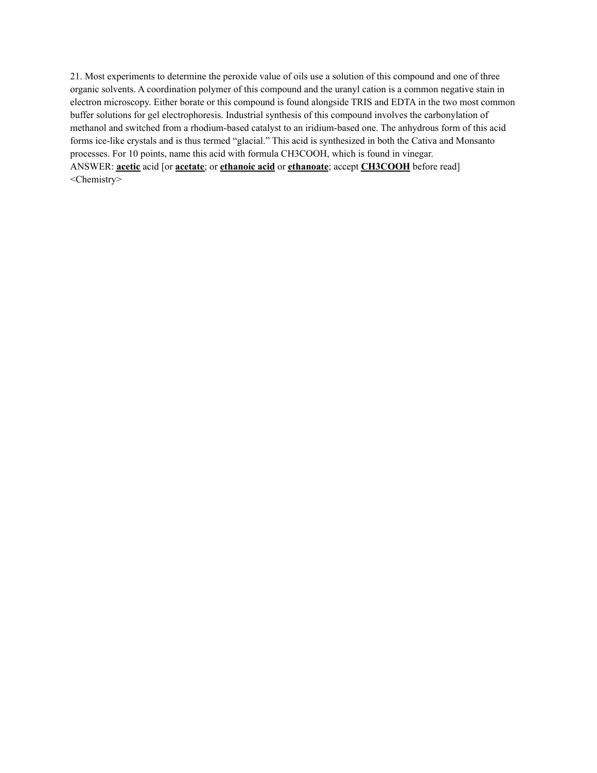21. Most experiments to determine the peroxide value of oils use a solution of this compound and one of three organic solvents. A coordination polymer of this compound and the uranyl cation is a common negative stain in electron microscopy. Either borate or this compound is found alongside TRIS and EDTA in the two most common buffer solutions for gel electrophoresis. Industrial synthesis of this compound involves the carbonylation of methanol and switched from a rhodium-based catalyst to an iridium-based one. The anhydrous form of this acid forms ice-like crystals and is thus termed "glacial." This acid is synthesized in both the Cativa and Monsanto processes. For 10 points, name this acid with formula CH3COOH, which is found in vinegar. ANSWER: **acetic** acid [or **acetate**; or **ethanoic acid** or **ethanoate**; accept **CH3COOH** before read] <Chemistry>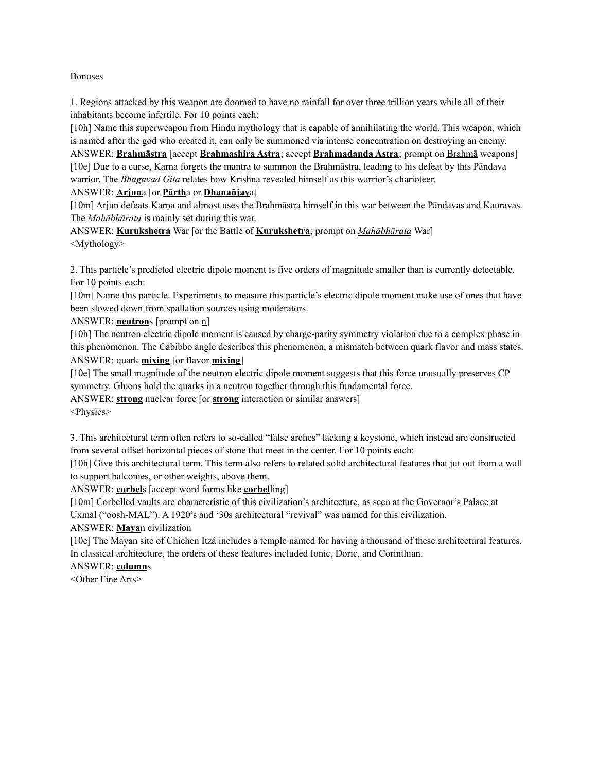### Bonuses

1. Regions attacked by this weapon are doomed to have no rainfall for over three trillion years while all of their inhabitants become infertile. For 10 points each:

[10h] Name this superweapon from Hindu mythology that is capable of annihilating the world. This weapon, which is named after the god who created it, can only be summoned via intense concentration on destroying an enemy. ANSWER: **Brahmāstra** [accept **Brahmashira Astra**; accept **Brahmadanda Astra**; prompt on Brahmā weapons]

[10e] Due to a curse, Karna forgets the mantra to summon the Brahmāstra, leading to his defeat by this Pāndava warrior. The *Bhagavad Gita* relates how Krishna revealed himself as this warrior's charioteer.

ANSWER: **Arjun**a [or **Pārth**a or **Dhanañjay**a]

[10m] Arjun defeats Karna and almost uses the Brahmāstra himself in this war between the Pāndavas and Kauravas. The *Mahābhārata* is mainly set during this war.

ANSWER: **Kurukshetra** War [or the Battle of **Kurukshetra**; prompt on *Mahābhārata* War] <Mythology>

2. This particle's predicted electric dipole moment is five orders of magnitude smaller than is currently detectable. For 10 points each:

[10m] Name this particle. Experiments to measure this particle's electric dipole moment make use of ones that have been slowed down from spallation sources using moderators.

ANSWER: **neutron**s [prompt on n]

[10h] The neutron electric dipole moment is caused by charge-parity symmetry violation due to a complex phase in this phenomenon. The Cabibbo angle describes this phenomenon, a mismatch between quark flavor and mass states. ANSWER: quark **mixing** [or flavor **mixing**]

[10e] The small magnitude of the neutron electric dipole moment suggests that this force unusually preserves CP symmetry. Gluons hold the quarks in a neutron together through this fundamental force.

ANSWER: **strong** nuclear force [or **strong** interaction or similar answers]

<Physics>

3. This architectural term often refers to so-called "false arches" lacking a keystone, which instead are constructed from several offset horizontal pieces of stone that meet in the center. For 10 points each:

[10h] Give this architectural term. This term also refers to related solid architectural features that jut out from a wall to support balconies, or other weights, above them.

ANSWER: **corbel**s [accept word forms like **corbel**ling]

[10m] Corbelled vaults are characteristic of this civilization's architecture, as seen at the Governor's Palace at Uxmal ("oosh-MAL"). A 1920's and '30s architectural "revival" was named for this civilization.

ANSWER: **Maya**n civilization

[10e] The Mayan site of Chichen Itzá includes a temple named for having a thousand of these architectural features. In classical architecture, the orders of these features included Ionic, Doric, and Corinthian.

ANSWER: **column**s

<Other Fine Arts>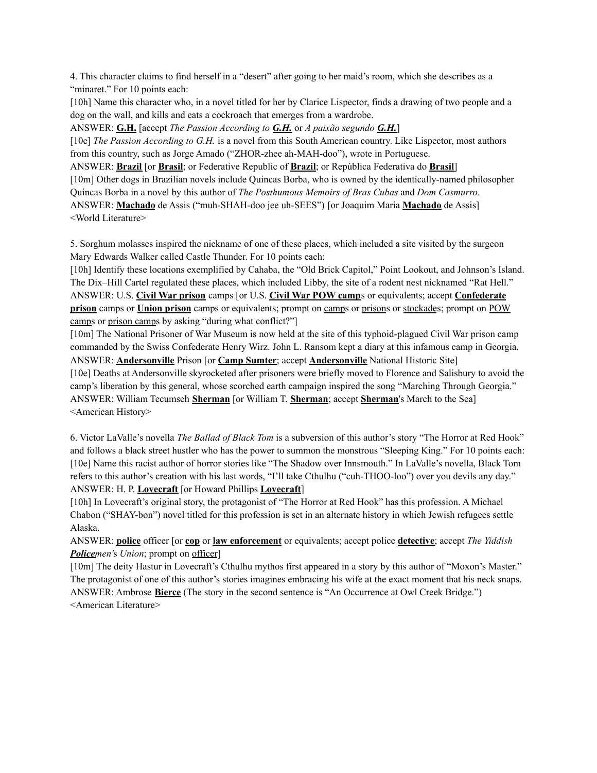4. This character claims to find herself in a "desert" after going to her maid's room, which she describes as a "minaret." For 10 points each:

[10h] Name this character who, in a novel titled for her by Clarice Lispector, finds a drawing of two people and a dog on the wall, and kills and eats a cockroach that emerges from a wardrobe.

ANSWER: **G.H.** [accept *The Passion According to G.H.* or *A paixão segundo G.H.*] [10e] *The Passion According to G.H.* is a novel from this South American country. Like Lispector, most authors from this country, such as Jorge Amado ("ZHOR-zhee ah-MAH-doo"), wrote in Portuguese.

ANSWER: **Brazil** [or **Brasil**; or Federative Republic of **Brazil**; or República Federativa do **Brasil**] [10m] Other dogs in Brazilian novels include Quincas Borba, who is owned by the identically-named philosopher Quincas Borba in a novel by this author of *The Posthumous Memoirs of Bras Cubas* and *Dom Casmurro*. ANSWER: **Machado** de Assis ("muh-SHAH-doo jee uh-SEES") [or Joaquim Maria **Machado** de Assis] <World Literature>

5. Sorghum molasses inspired the nickname of one of these places, which included a site visited by the surgeon Mary Edwards Walker called Castle Thunder. For 10 points each:

[10h] Identify these locations exemplified by Cahaba, the "Old Brick Capitol," Point Lookout, and Johnson's Island. The Dix–Hill Cartel regulated these places, which included Libby, the site of a rodent nest nicknamed "Rat Hell." ANSWER: U.S. **Civil War prison** camps [or U.S. **Civil War POW camp**s or equivalents; accept **Confederate prison** camps or **Union prison** camps or equivalents; prompt on camps or prisons or stockades; prompt on POW camps or prison camps by asking "during what conflict?"

[10m] The National Prisoner of War Museum is now held at the site of this typhoid-plagued Civil War prison camp commanded by the Swiss Confederate Henry Wirz. John L. Ransom kept a diary at this infamous camp in Georgia. ANSWER: **Andersonville** Prison [or **Camp Sumter**; accept **Andersonville** National Historic Site] [10e] Deaths at Andersonville skyrocketed after prisoners were briefly moved to Florence and Salisbury to avoid the camp's liberation by this general, whose scorched earth campaign inspired the song "Marching Through Georgia." ANSWER: William Tecumseh **Sherman** [or William T. **Sherman**; accept **Sherman**'s March to the Sea] <American History>

6. Victor LaValle's novella *The Ballad of Black Tom* is a subversion of this author's story "The Horror at Red Hook" and follows a black street hustler who has the power to summon the monstrous "Sleeping King." For 10 points each: [10e] Name this racist author of horror stories like "The Shadow over Innsmouth." In LaValle's novella, Black Tom refers to this author's creation with his last words, "I'll take Cthulhu ("cuh-THOO-loo") over you devils any day." ANSWER: H. P. **Lovecraft** [or Howard Phillips **Lovecraft**]

[10h] In Lovecraft's original story, the protagonist of "The Horror at Red Hook" has this profession. A Michael Chabon ("SHAY-bon") novel titled for this profession is set in an alternate history in which Jewish refugees settle Alaska.

ANSWER: **police** officer [or **cop** or **law enforcement** or equivalents; accept police **detective**; accept *The Yiddish Policemen'*s *Union*; prompt on officer]

[10m] The deity Hastur in Lovecraft's Cthulhu mythos first appeared in a story by this author of "Moxon's Master." The protagonist of one of this author's stories imagines embracing his wife at the exact moment that his neck snaps. ANSWER: Ambrose **Bierce** (The story in the second sentence is "An Occurrence at Owl Creek Bridge.") <American Literature>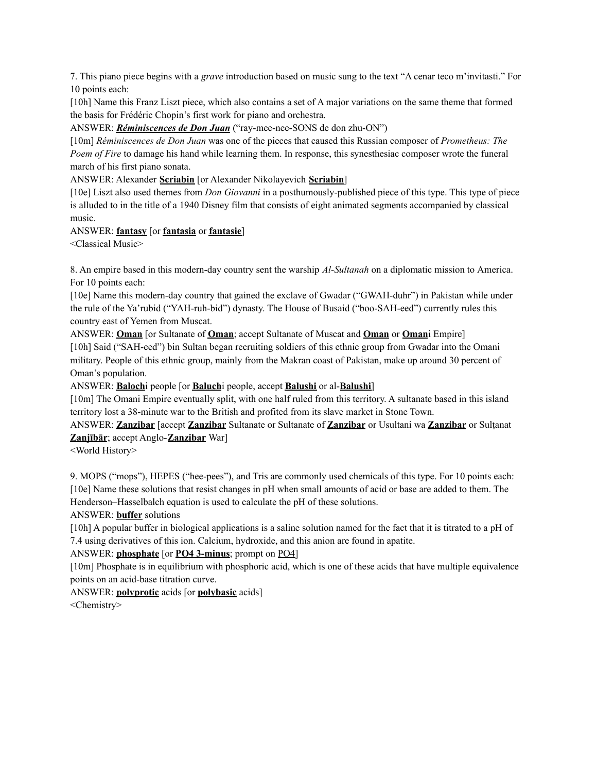7. This piano piece begins with a *grave* introduction based on music sung to the text "A cenar teco m'invitasti." For 10 points each:

[10h] Name this Franz Liszt piece, which also contains a set of A major variations on the same theme that formed the basis for Frédéric Chopin's first work for piano and orchestra.

ANSWER: *Réminiscences de Don Juan* ("ray-mee-nee-SONS de don zhu-ON")

[10m] *Réminiscences de Don Juan* was one of the pieces that caused this Russian composer of *Prometheus: The Poem of Fire* to damage his hand while learning them. In response, this synesthesiac composer wrote the funeral march of his first piano sonata.

ANSWER: Alexander **Scriabin** [or Alexander Nikolayevich **Scriabin**]

[10e] Liszt also used themes from *Don Giovanni* in a posthumously-published piece of this type. This type of piece is alluded to in the title of a 1940 Disney film that consists of eight animated segments accompanied by classical music.

## ANSWER: **fantasy** [or **fantasia** or **fantasie**]

<Classical Music>

8. An empire based in this modern-day country sent the warship *Al-Sultanah* on a diplomatic mission to America. For 10 points each:

[10e] Name this modern-day country that gained the exclave of Gwadar ("GWAH-duhr") in Pakistan while under the rule of the Ya'rubid ("YAH-ruh-bid") dynasty. The House of Busaid ("boo-SAH-eed") currently rules this country east of Yemen from Muscat.

ANSWER: **Oman** [or Sultanate of **Oman**; accept Sultanate of Muscat and **Oman** or **Oman**i Empire] [10h] Said ("SAH-eed") bin Sultan began recruiting soldiers of this ethnic group from Gwadar into the Omani military. People of this ethnic group, mainly from the Makran coast of Pakistan, make up around 30 percent of Oman's population.

ANSWER: **Baloch**i people [or **Baluch**i people, accept **Balushi** or al-**Balushi**]

[10m] The Omani Empire eventually split, with one half ruled from this territory. A sultanate based in this island territory lost a 38-minute war to the British and profited from its slave market in Stone Town.

ANSWER: **Zanzibar** [accept **Zanzibar** Sultanate or Sultanate of **Zanzibar** or Usultani wa **Zanzibar** or Sulṭanat **Zanjībār**; accept Anglo-**Zanzibar** War]

<World History>

9. MOPS ("mops"), HEPES ("hee-pees"), and Tris are commonly used chemicals of this type. For 10 points each: [10e] Name these solutions that resist changes in pH when small amounts of acid or base are added to them. The Henderson–Hasselbalch equation is used to calculate the pH of these solutions.

ANSWER: **buffer** solutions

[10h] A popular buffer in biological applications is a saline solution named for the fact that it is titrated to a pH of 7.4 using derivatives of this ion. Calcium, hydroxide, and this anion are found in apatite.

# ANSWER: **phosphate** [or **PO4 3-minus**; prompt on PO4]

[10m] Phosphate is in equilibrium with phosphoric acid, which is one of these acids that have multiple equivalence points on an acid-base titration curve.

ANSWER: **polyprotic** acids [or **polybasic** acids]

<Chemistry>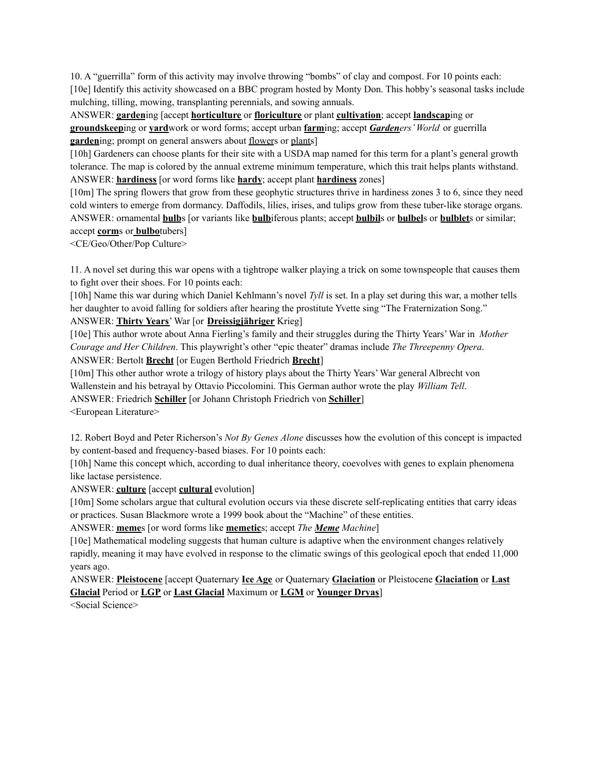10. A "guerrilla" form of this activity may involve throwing "bombs" of clay and compost. For 10 points each: [10e] Identify this activity showcased on a BBC program hosted by Monty Don. This hobby's seasonal tasks include mulching, tilling, mowing, transplanting perennials, and sowing annuals.

ANSWER: **garden**ing [accept **horticulture** or **floriculture** or plant **cultivation**; accept **landscap**ing or **groundskeep**ing or **yard**work or word forms; accept urban **farm**ing; accept *Gardeners' World* or guerrilla **garden**ing; prompt on general answers about <u>flower</u>s or plants

[10h] Gardeners can choose plants for their site with a USDA map named for this term for a plant's general growth tolerance. The map is colored by the annual extreme minimum temperature, which this trait helps plants withstand. ANSWER: **hardiness** [or word forms like **hardy**; accept plant **hardiness** zones]

[10m] The spring flowers that grow from these geophytic structures thrive in hardiness zones 3 to 6, since they need cold winters to emerge from dormancy. Daffodils, lilies, irises, and tulips grow from these tuber-like storage organs. ANSWER: ornamental **bulb**s [or variants like **bulb**iferous plants; accept **bulbil**s or **bulbel**s or **bulblet**s or similar; accept **corm**s or **bulbo**tubers]

<CE/Geo/Other/Pop Culture>

11. A novel set during this war opens with a tightrope walker playing a trick on some townspeople that causes them to fight over their shoes. For 10 points each:

[10h] Name this war during which Daniel Kehlmann's novel *Tyll* is set. In a play set during this war, a mother tells her daughter to avoid falling for soldiers after hearing the prostitute Yvette sing "The Fraternization Song." ANSWER: **Thirty Years**' War [or **Dreissigjähriger** Krieg]

[10e] This author wrote about Anna Fierling's family and their struggles during the Thirty Years' War in *Mother Courage and Her Children*. This playwright's other "epic theater" dramas include *The Threepenny Opera*. ANSWER: Bertolt **Brecht** [or Eugen Berthold Friedrich **Brecht**]

[10m] This other author wrote a trilogy of history plays about the Thirty Years' War general Albrecht von Wallenstein and his betrayal by Ottavio Piccolomini. This German author wrote the play *William Tell*. ANSWER: Friedrich **Schiller** [or Johann Christoph Friedrich von **Schiller**]

<European Literature>

12. Robert Boyd and Peter Richerson's *Not By Genes Alone* discusses how the evolution of this concept is impacted by content-based and frequency-based biases. For 10 points each:

[10h] Name this concept which, according to dual inheritance theory, coevolves with genes to explain phenomena like lactase persistence.

ANSWER: **culture** [accept **cultural** evolution]

[10m] Some scholars argue that cultural evolution occurs via these discrete self-replicating entities that carry ideas or practices. Susan Blackmore wrote a 1999 book about the "Machine" of these entities.

ANSWER: **meme**s [or word forms like **memetic**s; accept *The Meme Machine*]

[10e] Mathematical modeling suggests that human culture is adaptive when the environment changes relatively rapidly, meaning it may have evolved in response to the climatic swings of this geological epoch that ended 11,000 years ago.

ANSWER: **Pleistocene** [accept Quaternary **Ice Age** or Quaternary **Glaciation** or Pleistocene **Glaciation** or **Last Glacial** Period or **LGP** or **Last Glacial** Maximum or **LGM** or **Younger Dryas**] <Social Science>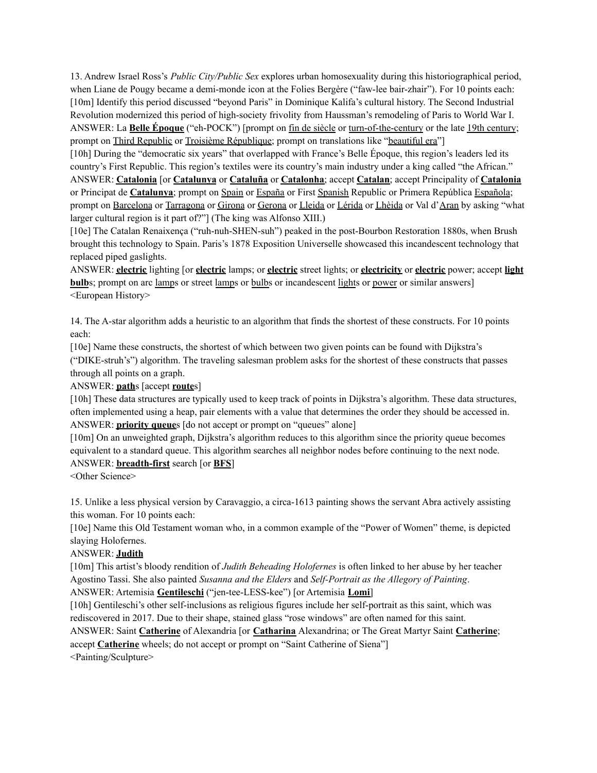13. Andrew Israel Ross's *Public City/Public Sex* explores urban homosexuality during this historiographical period, when Liane de Pougy became a demi-monde icon at the Folies Bergère ("faw-lee bair-zhair"). For 10 points each: [10m] Identify this period discussed "beyond Paris" in Dominique Kalifa's cultural history. The Second Industrial Revolution modernized this period of high-society frivolity from Haussman's remodeling of Paris to World War I. ANSWER: La **Belle Époque** ("eh-POCK") [prompt on fin de siècle or turn-of-the-century or the late 19th century; prompt on Third Republic or Troisième République; prompt on translations like "beautiful era"]

[10h] During the "democratic six years" that overlapped with France's Belle Époque, this region's leaders led its country's First Republic. This region's textiles were its country's main industry under a king called "the African." ANSWER: **Catalonia** [or **Catalunya** or **Cataluña** or **Catalonha**; accept **Catalan**; accept Principality of **Catalonia** or Principat de **Catalunya**; prompt on Spain or España or First Spanish Republic or Primera República Española; prompt on Barcelona or Tarragona or Girona or Gerona or Lleida or Lérida or Lhèida or Val d'Aran by asking "what larger cultural region is it part of?"] (The king was Alfonso XIII.)

[10e] The Catalan Renaixença ("ruh-nuh-SHEN-suh") peaked in the post-Bourbon Restoration 1880s, when Brush brought this technology to Spain. Paris's 1878 Exposition Universelle showcased this incandescent technology that replaced piped gaslights.

ANSWER: **electric** lighting [or **electric** lamps; or **electric** street lights; or **electricity** or **electric** power; accept **light bulb**s; prompt on arc lamps or street lamps or bulbs or incandescent lights or power or similar answers] <European History>

14. The A-star algorithm adds a heuristic to an algorithm that finds the shortest of these constructs. For 10 points each:

[10e] Name these constructs, the shortest of which between two given points can be found with Dijkstra's ("DIKE-struh's") algorithm. The traveling salesman problem asks for the shortest of these constructs that passes through all points on a graph.

ANSWER: **path**s [accept **route**s]

[10h] These data structures are typically used to keep track of points in Dijkstra's algorithm. These data structures, often implemented using a heap, pair elements with a value that determines the order they should be accessed in. ANSWER: **priority queue**s [do not accept or prompt on "queues" alone]

[10m] On an unweighted graph, Dijkstra's algorithm reduces to this algorithm since the priority queue becomes equivalent to a standard queue. This algorithm searches all neighbor nodes before continuing to the next node. ANSWER: **breadth-first** search [or **BFS**]

<Other Science>

15. Unlike a less physical version by Caravaggio, a circa-1613 painting shows the servant Abra actively assisting this woman. For 10 points each:

[10e] Name this Old Testament woman who, in a common example of the "Power of Women" theme, is depicted slaying Holofernes.

### ANSWER: **Judith**

[10m] This artist's bloody rendition of *Judith Beheading Holofernes* is often linked to her abuse by her teacher Agostino Tassi. She also painted *Susanna and the Elders* and *Self-Portrait as the Allegory of Painting*.

ANSWER: Artemisia **Gentileschi** ("jen-tee-LESS-kee") [or Artemisia **Lomi**]

[10h] Gentileschi's other self-inclusions as religious figures include her self-portrait as this saint, which was rediscovered in 2017. Due to their shape, stained glass "rose windows" are often named for this saint.

ANSWER: Saint **Catherine** of Alexandria [or **Catharina** Alexandrina; or The Great Martyr Saint **Catherine**; accept **Catherine** wheels; do not accept or prompt on "Saint Catherine of Siena"] <Painting/Sculpture>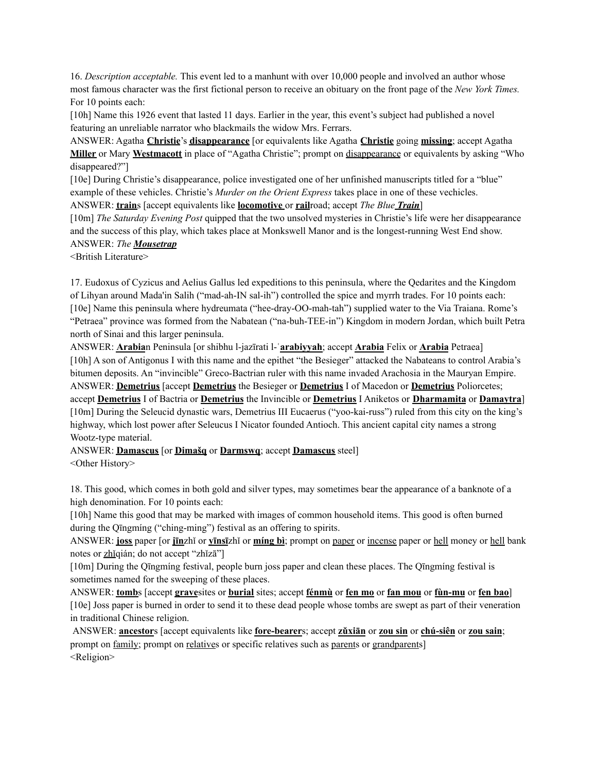16. *Description acceptable.* This event led to a manhunt with over 10,000 people and involved an author whose most famous character was the first fictional person to receive an obituary on the front page of the *New York Times.* For 10 points each:

[10h] Name this 1926 event that lasted 11 days. Earlier in the year, this event's subject had published a novel featuring an unreliable narrator who blackmails the widow Mrs. Ferrars.

ANSWER: Agatha **Christie**'s **disappearance** [or equivalents like Agatha **Christie** going **missing**; accept Agatha **Miller** or Mary **Westmacott** in place of "Agatha Christie"; prompt on disappearance or equivalents by asking "Who disappeared?"]

[10e] During Christie's disappearance, police investigated one of her unfinished manuscripts titled for a "blue" example of these vehicles. Christie's *Murder on the Orient Express* takes place in one of these vechicles.

ANSWER: **train**s [accept equivalents like **locomotive** or **rail**road; accept *The Blue Train*]

[10m] *The Saturday Evening Post* quipped that the two unsolved mysteries in Christie's life were her disappearance and the success of this play, which takes place at Monkswell Manor and is the longest-running West End show. ANSWER: *The Mousetrap*

<British Literature>

17. Eudoxus of Cyzicus and Aelius Gallus led expeditions to this peninsula, where the Qedarites and the Kingdom of Lihyan around Mada'in Salih ("mad-ah-IN sal-ih") controlled the spice and myrrh trades. For 10 points each: [10e] Name this peninsula where hydreumata ("hee-dray-OO-mah-tah") supplied water to the Via Traiana. Rome's "Petraea" province was formed from the Nabatean ("na-buh-TEE-in") Kingdom in modern Jordan, which built Petra north of Sinai and this larger peninsula.

ANSWER: **Arabia**n Peninsula [or shibhu l-jazīrati l-ʿ**arabiyyah**; accept **Arabia** Felix or **Arabia** Petraea] [10h] A son of Antigonus I with this name and the epithet "the Besieger" attacked the Nabateans to control Arabia's bitumen deposits. An "invincible" Greco-Bactrian ruler with this name invaded Arachosia in the Mauryan Empire. ANSWER: **Demetrius** [accept **Demetrius** the Besieger or **Demetrius** I of Macedon or **Demetrius** Poliorcetes; accept **Demetrius** I of Bactria or **Demetrius** the Invincible or **Demetrius** I Aniketos or **Dharmamita** or **Damaytra**] [10m] During the Seleucid dynastic wars, Demetrius III Eucaerus ("yoo-kai-russ") ruled from this city on the king's highway, which lost power after Seleucus I Nicator founded Antioch. This ancient capital city names a strong Wootz-type material.

ANSWER: **Damascus** [or **Dimašq** or **Darmswq**; accept **Damascus** steel] <Other History>

18. This good, which comes in both gold and silver types, may sometimes bear the appearance of a banknote of a high denomination. For 10 points each:

[10h] Name this good that may be marked with images of common household items. This good is often burned during the Qīngmíng ("ching-ming") festival as an offering to spirits.

ANSWER: **joss** paper [or **jīn**zhǐ or **yīnsī**zhǐ or **míng bì**; prompt on paper or incense paper or hell money or hell bank notes or zhǐqián; do not accept "zhǐzā"]

[10m] During the Qīngmíng festival, people burn joss paper and clean these places. The Qīngmíng festival is sometimes named for the sweeping of these places.

ANSWER: **tomb**s [accept **grave**sites or **burial** sites; accept **fénmù** or **fen mo** or **fan mou** or **fùn-mu** or **fen bao**] [10e] Joss paper is burned in order to send it to these dead people whose tombs are swept as part of their veneration in traditional Chinese religion.

ANSWER: **ancestor**s [accept equivalents like **fore-bearer**s; accept **zǔxiān** or **zou sin** or **chú-siên** or **zou sain**; prompt on <u>family</u>; prompt on relatives or specific relatives such as parents or grandparents] <Religion>